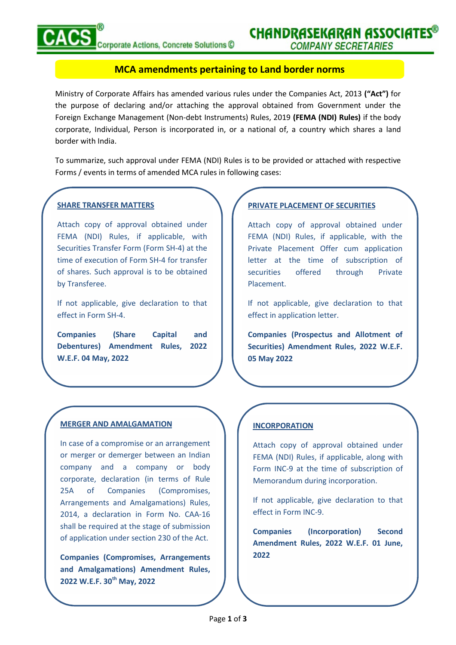## MCA amendments pertaining to Land border norms

Ministry of Corporate Affairs has amended various rules under the Companies Act, 2013 ("Act") for the purpose of declaring and/or attaching the approval obtained from Government under the Foreign Exchange Management (Non-debt Instruments) Rules, 2019 (FEMA (NDI) Rules) if the body corporate, Individual, Person is incorporated in, or a national of, a country which shares a land border with India.

To summarize, such approval under FEMA (NDI) Rules is to be provided or attached with respective Forms / events in terms of amended MCA rules in following cases:

## SHARE TRANSFER MATTERS

Attach copy of approval obtained under FEMA (NDI) Rules, if applicable, with Securities Transfer Form (Form SH-4) at the time of execution of Form SH-4 for transfer of shares. Such approval is to be obtained by Transferee.

If not applicable, give declaration to that effect in Form SH-4.

Companies (Share Capital and Debentures) Amendment Rules, 2022 W.E.F. 04 May, 2022

#### MERGER AND AMALGAMATION

In case of a compromise or an arrangement or merger or demerger between an Indian company and a company or body corporate, declaration (in terms of Rule 25A of Companies (Compromises, Arrangements and Amalgamations) Rules, 2014, a declaration in Form No. CAA-16 shall be required at the stage of submission **Companies** of application under section 230 of the Act.

Companies (Compromises, Arrangements and Amalgamations) Amendment Rules, 2022 W.E.F. 30<sup>th</sup> May, 2022

## PRIVATE PLACEMENT OF SECURITIES

Attach copy of approval obtained under FEMA (NDI) Rules, if applicable, with the Private Placement Offer cum application letter at the time of subscription of securities offered through Private Placement.

If not applicable, give declaration to that effect in application letter.

Companies (Prospectus and Allotment of Securities) Amendment Rules, 2022 W.E.F. 05 May 2022

#### INCORPORATION

Attach copy of approval obtained under FEMA (NDI) Rules, if applicable, along with Form INC-9 at the time of subscription of Memorandum during incorporation.

If not applicable, give declaration to that effect in Form INC-9.

(Incorporation) Second Amendment Rules, 2022 W.E.F. 01 June, 2022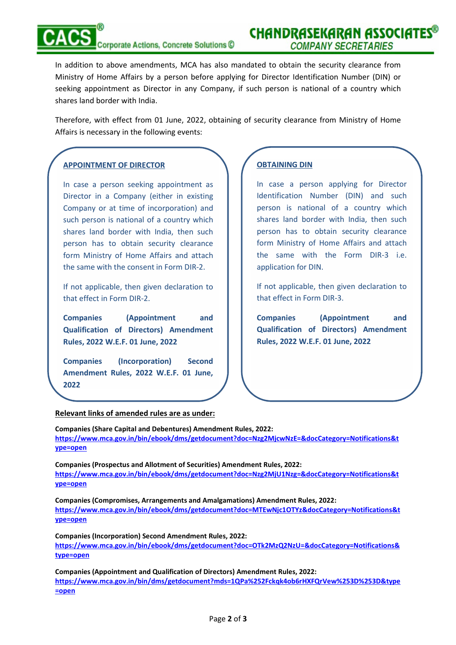# Corporate Actions, Concrete Solutions C

In addition to above amendments, MCA has also mandated to obtain the security clearance from Ministry of Home Affairs by a person before applying for Director Identification Number (DIN) or seeking appointment as Director in any Company, if such person is national of a country which shares land border with India.

Therefore, with effect from 01 June, 2022, obtaining of security clearance from Ministry of Home Affairs is necessary in the following events:

## APPOINTMENT OF DIRECTOR

J

In case a person seeking appointment as Director in a Company (either in existing Company or at time of incorporation) and such person is national of a country which shares land border with India, then such person has to obtain security clearance form Ministry of Home Affairs and attach the same with the consent in Form DIR-2.

If not applicable, then given declaration to that effect in Form DIR-2.

Companies (Appointment and Qualification of Directors) Amendment Rules, 2022 W.E.F. 01 June, 2022

Companies (Incorporation) Second Amendment Rules, 2022 W.E.F. 01 June, 2022

## OBTAINING DIN

In case a person applying for Director Identification Number (DIN) and such person is national of a country which shares land border with India, then such person has to obtain security clearance form Ministry of Home Affairs and attach the same with the Form DIR-3 i.e. application for DIN.

If not applicable, then given declaration to that effect in Form DIR-3.

(Appointment and Qualification of Directors) Amendment Rules, 2022 W.E.F. 01 June, 2022

## Relevant links of amended rules are as under:

Companies (Share Capital and Debentures) Amendment Rules, 2022: https://www.mca.gov.in/bin/ebook/dms/getdocument?doc=Nzg2MjcwNzE=&docCategory=Notifications&t ype=open

Companies (Prospectus and Allotment of Securities) Amendment Rules, 2022: https://www.mca.gov.in/bin/ebook/dms/getdocument?doc=Nzg2MjU1Nzg=&docCategory=Notifications&t ype=open

Companies (Compromises, Arrangements and Amalgamations) Amendment Rules, 2022: https://www.mca.gov.in/bin/ebook/dms/getdocument?doc=MTEwNjc1OTYz&docCategory=Notifications&t ype=open

Companies (Incorporation) Second Amendment Rules, 2022: https://www.mca.gov.in/bin/ebook/dms/getdocument?doc=OTk2MzQ2NzU=&docCategory=Notifications& type=open

Companies (Appointment and Qualification of Directors) Amendment Rules, 2022: https://www.mca.gov.in/bin/dms/getdocument?mds=1QPa%252Fckqk4ob6rHXFQrVew%253D%253D&type =open